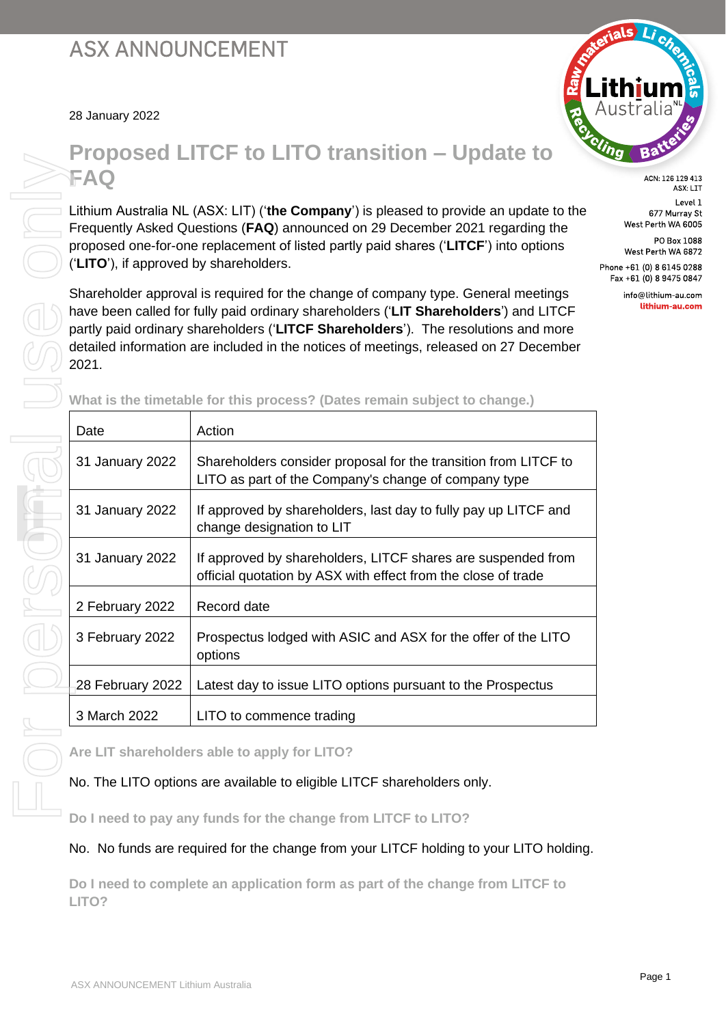28 January 2022



ACN: 126 129 413 ASX: LIT Level 1 677 Murray St West Perth WA 6005

PO Box 1088 West Perth WA 6872 Phone +61 (0) 8 6145 0288

Fax +61 (0) 8 9475 0847 info@lithium-au.com

lithium-au.com

# **Proposed LITCF to LITO transition – Update to**

Lithium Australia NL (ASX: LIT) ('**the Company**') is pleased to provide an update to the Frequently Asked Questions (**FAQ**) announced on 29 December 2021 regarding the proposed one-for-one replacement of listed partly paid shares ('**LITCF**') into options ('**LITO**'), if approved by shareholders.

Shareholder approval is required for the change of company type. General meetings have been called for fully paid ordinary shareholders ('**LIT Shareholders**') and LITCF partly paid ordinary shareholders ('**LITCF Shareholders**'). The resolutions and more detailed information are included in the notices of meetings, released on 27 December

| Date             | Action                                                                                                                        |
|------------------|-------------------------------------------------------------------------------------------------------------------------------|
| 31 January 2022  | Shareholders consider proposal for the transition from LITCF to<br>LITO as part of the Company's change of company type       |
| 31 January 2022  | If approved by shareholders, last day to fully pay up LITCF and<br>change designation to LIT                                  |
| 31 January 2022  | If approved by shareholders, LITCF shares are suspended from<br>official quotation by ASX with effect from the close of trade |
| 2 February 2022  | Record date                                                                                                                   |
| 3 February 2022  | Prospectus lodged with ASIC and ASX for the offer of the LITO<br>options                                                      |
| 28 February 2022 | Latest day to issue LITO options pursuant to the Prospectus                                                                   |
| 3 March 2022     | LITO to commence trading                                                                                                      |

**What is the timetable for this process? (Dates remain subject to change.)**

**Are LIT shareholders able to apply for LITO?** 

# No. The LITO options are available to eligible LITCF shareholders only.

**Do I need to pay any funds for the change from LITCF to LITO?** 

No. No funds are required for the change from your LITCF holding to your LITO holding.

**Do I need to complete an application form as part of the change from LITCF to**  LITO?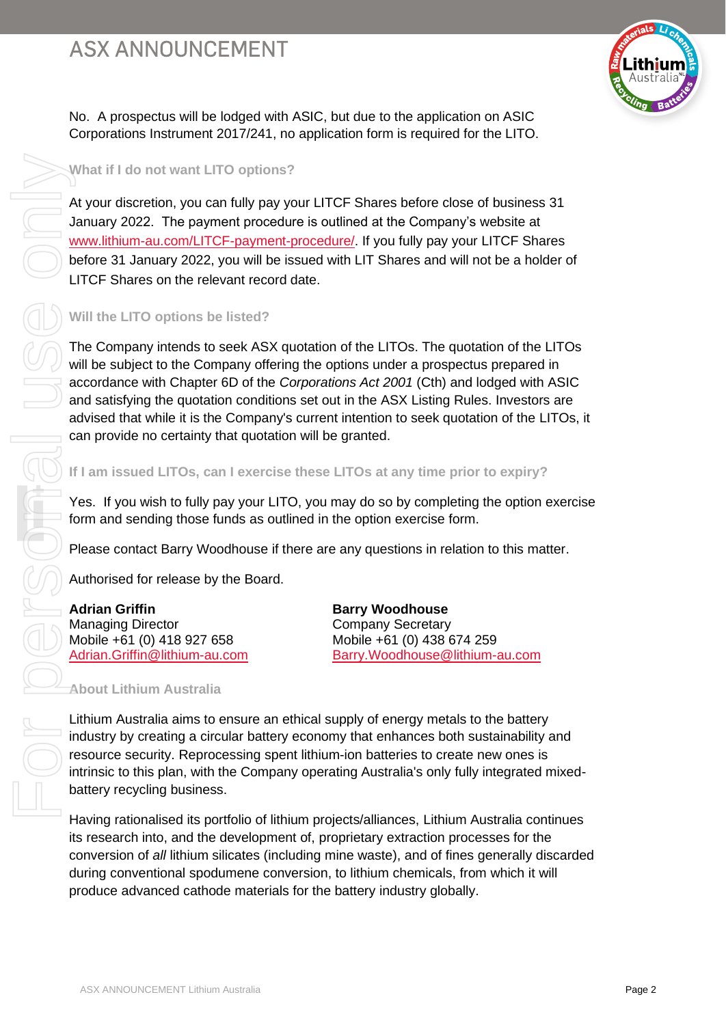

No. A prospectus will be lodged with ASIC, but due to the application on ASIC Corporations Instrument 2017/241, no application form is required for the LITO.

# **What if I do not want LITO options?**

At your discretion, you can fully pay your LITCF Shares before close of business 31 January 2022. The payment procedure is outlined at the Company's website at [www.lithium-au.com/LITCF-payment-procedure/.](https://lithium-au.com/LITCF-payment-procedure/) If you fully pay your LITCF Shares before 31 January 2022, you will be issued with LIT Shares and will not be a holder of LITCF Shares on the relevant record date.

## **Will the LITO options be listed?**

The Company intends to seek ASX quotation of the LITOs. The quotation of the LITOs will be subject to the Company offering the options under a prospectus prepared in accordance with Chapter 6D of the *Corporations Act 2001* (Cth) and lodged with ASIC and satisfying the quotation conditions set out in the ASX Listing Rules. Investors are advised that while it is the Company's current intention to seek quotation of the LITOs, it can provide no certainty that quotation will be granted. What if I do not want LITO options?<br>
At your discretion, you can fully pay your LITCF Shares before close of shares and with the company in the stude of the Company in the battery of the company and the company the best of

#### **If I am issued LITOs, can I exercise these LITOs at any time prior to expiry?**

Yes. If you wish to fully pay your LITO, you may do so by completing the option exercise form and sending those funds as outlined in the option exercise form.

Please contact Barry Woodhouse if there are any questions in relation to this matter.

Authorised for release by the Board.

**Adrian Griffin Barry Woodhouse Barry Woodhouse** Managing Director **Company Secretary** Mobile +61 (0) 418 927 658 Mobile +61 (0) 438 674 259

[Adrian.Griffin@lithium-au.com](mailto:Adrian.Griffin@lithium-au.com) [Barry.Woodhouse@lithium-au.com](mailto:Barry.Woodhouse@lithium-au.com)

#### **About Lithium Australia**

Lithium Australia aims to ensure an ethical supply of energy metals to the battery industry by creating a circular battery economy that enhances both sustainability and resource security. Reprocessing spent lithium-ion batteries to create new ones is intrinsic to this plan, with the Company operating Australia's only fully integrated mixedbattery recycling business.

Having rationalised its portfolio of lithium projects/alliances, Lithium Australia continues its research into, and the development of, proprietary extraction processes for the conversion of *all* lithium silicates (including mine waste), and of fines generally discarded during conventional spodumene conversion, to lithium chemicals, from which it will